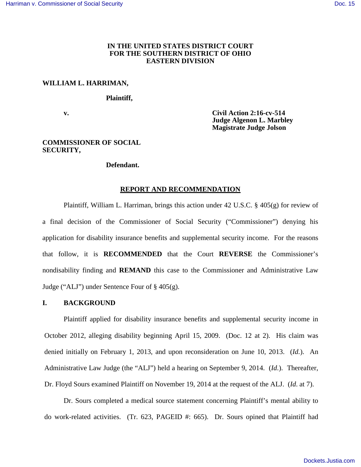# **IN THE UNITED STATES DISTRICT COURT FOR THE SOUTHERN DISTRICT OF OHIO EASTERN DIVISION**

# **WILLIAM L. HARRIMAN,**

#### **Plaintiff,**

 **v. Civil Action 2:16-cv-514 Judge Algenon L. Marbley Magistrate Judge Jolson** 

## **COMMISSIONER OF SOCIAL SECURITY,**

#### **Defendant.**

# **REPORT AND RECOMMENDATION**

Plaintiff, William L. Harriman, brings this action under 42 U.S.C. § 405(g) for review of a final decision of the Commissioner of Social Security ("Commissioner") denying his application for disability insurance benefits and supplemental security income. For the reasons that follow, it is **RECOMMENDED** that the Court **REVERSE** the Commissioner's nondisability finding and **REMAND** this case to the Commissioner and Administrative Law Judge ("ALJ") under Sentence Four of § 405(g).

# **I. BACKGROUND**

Plaintiff applied for disability insurance benefits and supplemental security income in October 2012, alleging disability beginning April 15, 2009. (Doc. 12 at 2). His claim was denied initially on February 1, 2013, and upon reconsideration on June 10, 2013. (*Id.*). An Administrative Law Judge (the "ALJ") held a hearing on September 9, 2014. (*Id*.). Thereafter, Dr. Floyd Sours examined Plaintiff on November 19, 2014 at the request of the ALJ. (*Id*. at 7).

Dr. Sours completed a medical source statement concerning Plaintiff's mental ability to do work-related activities. (Tr. 623, PAGEID #: 665). Dr. Sours opined that Plaintiff had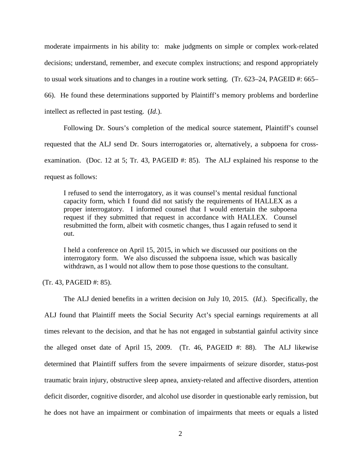moderate impairments in his ability to: make judgments on simple or complex work-related decisions; understand, remember, and execute complex instructions; and respond appropriately to usual work situations and to changes in a routine work setting. (Tr. 623–24, PAGEID #: 665– 66). He found these determinations supported by Plaintiff's memory problems and borderline intellect as reflected in past testing. (*Id*.).

Following Dr. Sours's completion of the medical source statement, Plaintiff's counsel requested that the ALJ send Dr. Sours interrogatories or, alternatively, a subpoena for crossexamination. (Doc. 12 at 5; Tr. 43, PAGEID #: 85). The ALJ explained his response to the request as follows:

I refused to send the interrogatory, as it was counsel's mental residual functional capacity form, which I found did not satisfy the requirements of HALLEX as a proper interrogatory. I informed counsel that I would entertain the subpoena request if they submitted that request in accordance with HALLEX. Counsel resubmitted the form, albeit with cosmetic changes, thus I again refused to send it out.

I held a conference on April 15, 2015, in which we discussed our positions on the interrogatory form. We also discussed the subpoena issue, which was basically withdrawn, as I would not allow them to pose those questions to the consultant.

(Tr. 43, PAGEID #: 85).

The ALJ denied benefits in a written decision on July 10, 2015. (*Id*.). Specifically, the ALJ found that Plaintiff meets the Social Security Act's special earnings requirements at all times relevant to the decision, and that he has not engaged in substantial gainful activity since the alleged onset date of April 15, 2009. (Tr. 46, PAGEID #: 88). The ALJ likewise determined that Plaintiff suffers from the severe impairments of seizure disorder, status-post traumatic brain injury, obstructive sleep apnea, anxiety-related and affective disorders, attention deficit disorder, cognitive disorder, and alcohol use disorder in questionable early remission, but he does not have an impairment or combination of impairments that meets or equals a listed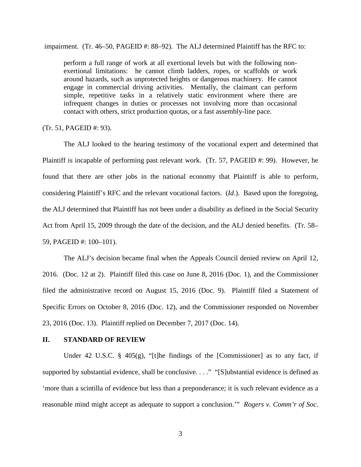impairment. (Tr. 46–50, PAGEID #: 88–92). The ALJ determined Plaintiff has the RFC to:

perform a full range of work at all exertional levels but with the following nonexertional limitations: he cannot climb ladders, ropes, or scaffolds or work around hazards, such as unprotected heights or dangerous machinery. He cannot engage in commercial driving activities. Mentally, the claimant can perform simple, repetitive tasks in a relatively static environment where there are infrequent changes in duties or processes not involving more than occasional contact with others, strict production quotas, or a fast assembly-line pace.

### (Tr. 51, PAGEID #: 93).

The ALJ looked to the hearing testimony of the vocational expert and determined that Plaintiff is incapable of performing past relevant work. (Tr. 57, PAGEID #: 99). However, he found that there are other jobs in the national economy that Plaintiff is able to perform, considering Plaintiff's RFC and the relevant vocational factors. (*Id*.). Based upon the foregoing, the ALJ determined that Plaintiff has not been under a disability as defined in the Social Security Act from April 15, 2009 through the date of the decision, and the ALJ denied benefits. (Tr. 58– 59, PAGEID #: 100–101).

The ALJ's decision became final when the Appeals Council denied review on April 12, 2016. (Doc. 12 at 2). Plaintiff filed this case on June 8, 2016 (Doc. 1), and the Commissioner filed the administrative record on August 15, 2016 (Doc. 9). Plaintiff filed a Statement of Specific Errors on October 8, 2016 (Doc. 12), and the Commissioner responded on November 23, 2016 (Doc. 13). Plaintiff replied on December 7, 2017 (Doc. 14).

## **II. STANDARD OF REVIEW**

Under 42 U.S.C. § 405(g), "[t]he findings of the [Commissioner] as to any fact, if supported by substantial evidence, shall be conclusive. . . ." "[S]ubstantial evidence is defined as 'more than a scintilla of evidence but less than a preponderance; it is such relevant evidence as a reasonable mind might accept as adequate to support a conclusion.'" *Rogers v. Comm'r of Soc.*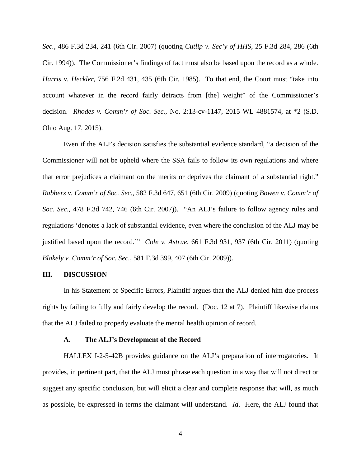*Sec.*, 486 F.3d 234, 241 (6th Cir. 2007) (quoting *Cutlip v. Sec'y of HHS*, 25 F.3d 284, 286 (6th Cir. 1994)). The Commissioner's findings of fact must also be based upon the record as a whole. *Harris v. Heckler*, 756 F.2d 431, 435 (6th Cir. 1985). To that end, the Court must "take into account whatever in the record fairly detracts from [the] weight" of the Commissioner's decision. *Rhodes v. Comm'r of Soc. Sec.*, No. 2:13-cv-1147, 2015 WL 4881574, at \*2 (S.D. Ohio Aug. 17, 2015).

Even if the ALJ's decision satisfies the substantial evidence standard, "a decision of the Commissioner will not be upheld where the SSA fails to follow its own regulations and where that error prejudices a claimant on the merits or deprives the claimant of a substantial right." *Rabbers v. Comm'r of Soc. Sec.*, 582 F.3d 647, 651 (6th Cir. 2009) (quoting *Bowen v. Comm'r of Soc. Sec*., 478 F.3d 742, 746 (6th Cir. 2007)). "An ALJ's failure to follow agency rules and regulations 'denotes a lack of substantial evidence, even where the conclusion of the ALJ may be justified based upon the record.'" *Cole v. Astrue*, 661 F.3d 931, 937 (6th Cir. 2011) (quoting *Blakely v. Comm'r of Soc. Sec.*, 581 F.3d 399, 407 (6th Cir. 2009)).

### **III. DISCUSSION**

In his Statement of Specific Errors, Plaintiff argues that the ALJ denied him due process rights by failing to fully and fairly develop the record. (Doc. 12 at 7). Plaintiff likewise claims that the ALJ failed to properly evaluate the mental health opinion of record.

### **A. The ALJ's Development of the Record**

HALLEX I-2-5-42B provides guidance on the ALJ's preparation of interrogatories. It provides, in pertinent part, that the ALJ must phrase each question in a way that will not direct or suggest any specific conclusion, but will elicit a clear and complete response that will, as much as possible, be expressed in terms the claimant will understand. *Id*. Here, the ALJ found that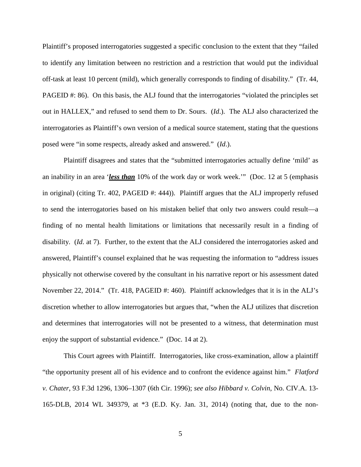Plaintiff's proposed interrogatories suggested a specific conclusion to the extent that they "failed to identify any limitation between no restriction and a restriction that would put the individual off-task at least 10 percent (mild), which generally corresponds to finding of disability." (Tr. 44, PAGEID #: 86). On this basis, the ALJ found that the interrogatories "violated the principles set out in HALLEX," and refused to send them to Dr. Sours. (*Id*.). The ALJ also characterized the interrogatories as Plaintiff's own version of a medical source statement, stating that the questions posed were "in some respects, already asked and answered." (*Id*.).

Plaintiff disagrees and states that the "submitted interrogatories actually define 'mild' as an inability in an area '*less than* 10% of the work day or work week.'" (Doc. 12 at 5 (emphasis in original) (citing Tr. 402, PAGEID #: 444)). Plaintiff argues that the ALJ improperly refused to send the interrogatories based on his mistaken belief that only two answers could result—a finding of no mental health limitations or limitations that necessarily result in a finding of disability. (*Id*. at 7). Further, to the extent that the ALJ considered the interrogatories asked and answered, Plaintiff's counsel explained that he was requesting the information to "address issues physically not otherwise covered by the consultant in his narrative report or his assessment dated November 22, 2014." (Tr. 418, PAGEID #: 460). Plaintiff acknowledges that it is in the ALJ's discretion whether to allow interrogatories but argues that, "when the ALJ utilizes that discretion and determines that interrogatories will not be presented to a witness, that determination must enjoy the support of substantial evidence." (Doc. 14 at 2).

This Court agrees with Plaintiff. Interrogatories, like cross-examination, allow a plaintiff "the opportunity present all of his evidence and to confront the evidence against him." *Flatford v. Chater*, 93 F.3d 1296, 1306–1307 (6th Cir. 1996); *see also Hibbard v. Colvin*, No. CIV.A. 13- 165-DLB, 2014 WL 349379, at \*3 (E.D. Ky. Jan. 31, 2014) (noting that, due to the non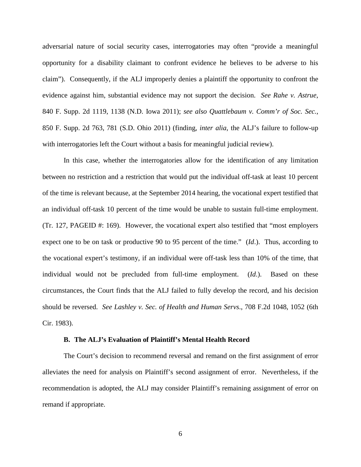adversarial nature of social security cases, interrogatories may often "provide a meaningful opportunity for a disability claimant to confront evidence he believes to be adverse to his claim"). Consequently, if the ALJ improperly denies a plaintiff the opportunity to confront the evidence against him, substantial evidence may not support the decision. *See Rahe v. Astrue*, 840 F. Supp. 2d 1119, 1138 (N.D. Iowa 2011); *see also Quattlebaum v. Comm'r of Soc. Sec.*, 850 F. Supp. 2d 763, 781 (S.D. Ohio 2011) (finding, *inter alia*, the ALJ's failure to follow-up with interrogatories left the Court without a basis for meaningful judicial review).

In this case, whether the interrogatories allow for the identification of any limitation between no restriction and a restriction that would put the individual off-task at least 10 percent of the time is relevant because, at the September 2014 hearing, the vocational expert testified that an individual off-task 10 percent of the time would be unable to sustain full-time employment. (Tr. 127, PAGEID #: 169). However, the vocational expert also testified that "most employers expect one to be on task or productive 90 to 95 percent of the time." (*Id*.). Thus, according to the vocational expert's testimony, if an individual were off-task less than 10% of the time, that individual would not be precluded from full-time employment. (*Id*.). Based on these circumstances, the Court finds that the ALJ failed to fully develop the record, and his decision should be reversed. *See Lashley v. Sec. of Health and Human Servs*., 708 F.2d 1048, 1052 (6th Cir. 1983).

#### **B. The ALJ's Evaluation of Plaintiff's Mental Health Record**

The Court's decision to recommend reversal and remand on the first assignment of error alleviates the need for analysis on Plaintiff's second assignment of error. Nevertheless, if the recommendation is adopted, the ALJ may consider Plaintiff's remaining assignment of error on remand if appropriate.